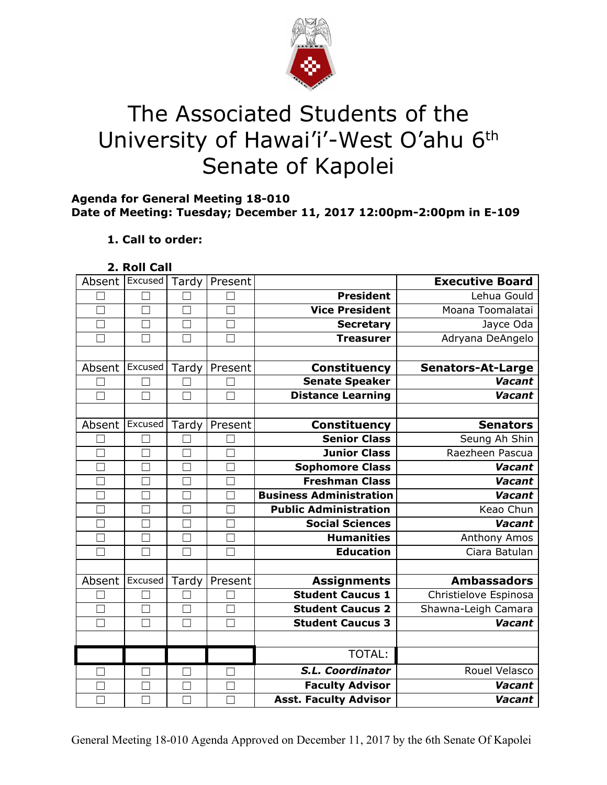

# The Associated Students of the University of Hawai'i'-West O'ahu 6<sup>th</sup> Senate of Kapolei

## **Agenda for General Meeting 18-010 Date of Meeting: Tuesday; December 11, 2017 12:00pm-2:00pm in E-109**

# **1. Call to order:**

**2. Roll Call**

| Absent            | Excused       | Tardy  | Present |                                | <b>Executive Board</b>   |
|-------------------|---------------|--------|---------|--------------------------------|--------------------------|
|                   |               |        |         | <b>President</b>               | Lehua Gould              |
| П                 | П             | $\Box$ | $\Box$  | <b>Vice President</b>          | Moana Toomalatai         |
| $\vert \ \ \vert$ | $\mathcal{L}$ | $\Box$ |         | <b>Secretary</b>               | Jayce Oda                |
|                   |               |        |         | <b>Treasurer</b>               | Adryana DeAngelo         |
|                   |               |        |         |                                |                          |
| Absent            | Excused       | Tardy  | Present | <b>Constituency</b>            | <b>Senators-At-Large</b> |
|                   |               |        |         | <b>Senate Speaker</b>          | <b>Vacant</b>            |
|                   | П             | $\Box$ |         | <b>Distance Learning</b>       | Vacant                   |
|                   |               |        |         |                                |                          |
| Absent            | Excused       | Tardy  | Present | Constituency                   | <b>Senators</b>          |
|                   | П             |        |         | <b>Senior Class</b>            | Seung Ah Shin            |
|                   | H.            |        |         | <b>Junior Class</b>            | Raezheen Pascua          |
|                   | $\Box$        | П      |         | Sophomore Class                | Vacant                   |
|                   | $\Box$        |        |         | <b>Freshman Class</b>          | <b>Vacant</b>            |
|                   | Г             | П      |         | <b>Business Administration</b> | Vacant                   |
| $\mathbf{L}$      | □             | П      |         | <b>Public Administration</b>   | Keao Chun                |
| $\Box$            | M             | $\Box$ | П       | <b>Social Sciences</b>         | Vacant                   |
| $\Box$            | $\Box$        | $\Box$ | П       | <b>Humanities</b>              | Anthony Amos             |
|                   |               |        |         |                                |                          |
| $\Box$            | П             | П      |         | <b>Education</b>               | Ciara Batulan            |
|                   |               |        |         |                                |                          |
| Absent            | Excused       | Tardy  | Present | <b>Assignments</b>             | <b>Ambassadors</b>       |
|                   | П             |        |         | <b>Student Caucus 1</b>        | Christielove Espinosa    |
|                   | П             | П      |         | <b>Student Caucus 2</b>        | Shawna-Leigh Camara      |
|                   |               | П      |         | <b>Student Caucus 3</b>        | <b>Vacant</b>            |
|                   |               |        |         |                                |                          |
|                   |               |        |         | TOTAL:                         |                          |
|                   | ٦             |        |         | S.L. Coordinator               | Rouel Velasco            |
|                   |               |        |         | <b>Faculty Advisor</b>         | <b>Vacant</b>            |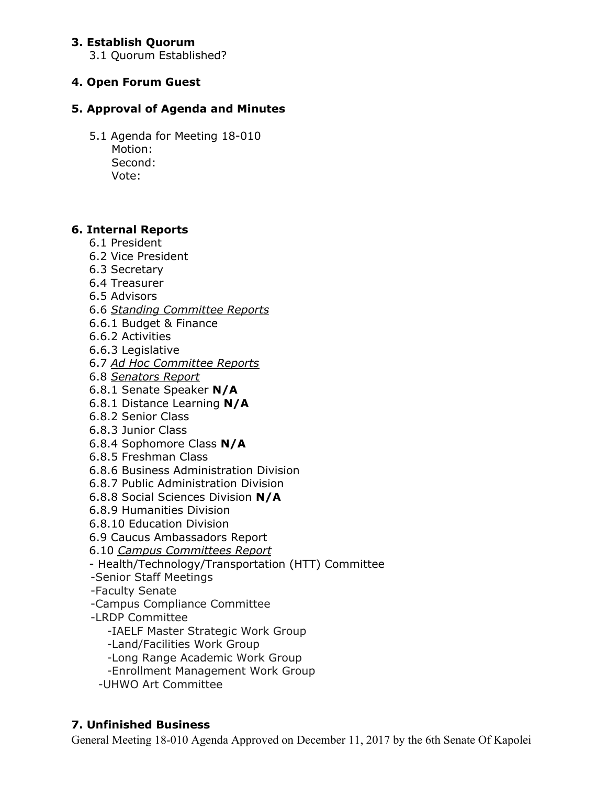## **3. Establish Quorum**

3.1 Quorum Established?

# **4. Open Forum Guest**

## **5. Approval of Agenda and Minutes**

5.1 Agenda for Meeting 18-010 Motion: Second: Vote:

## **6. Internal Reports**

- 6.1 President
- 6.2 Vice President
- 6.3 Secretary
- 6.4 Treasurer
- 6.5 Advisors
- 6.6 *Standing Committee Reports*
- 6.6.1 Budget & Finance
- 6.6.2 Activities
- 6.6.3 Legislative
- 6.7 *Ad Hoc Committee Reports*
- 6.8 *Senators Report*
- 6.8.1 Senate Speaker **N/A**
- 6.8.1 Distance Learning **N/A**
- 6.8.2 Senior Class
- 6.8.3 Junior Class
- 6.8.4 Sophomore Class **N/A**
- 6.8.5 Freshman Class
- 6.8.6 Business Administration Division
- 6.8.7 Public Administration Division
- 6.8.8 Social Sciences Division **N/A**
- 6.8.9 Humanities Division
- 6.8.10 Education Division
- 6.9 Caucus Ambassadors Report
- 6.10 *Campus Committees Report*
- Health/Technology/Transportation (HTT) Committee
- -Senior Staff Meetings
- -Faculty Senate
- -Campus Compliance Committee
- -LRDP Committee
	- -IAELF Master Strategic Work Group
	- -Land/Facilities Work Group
	- -Long Range Academic Work Group
	- -Enrollment Management Work Group
	- -UHWO Art Committee

# **7. Unfinished Business**

General Meeting 18-010 Agenda Approved on December 11, 2017 by the 6th Senate Of Kapolei